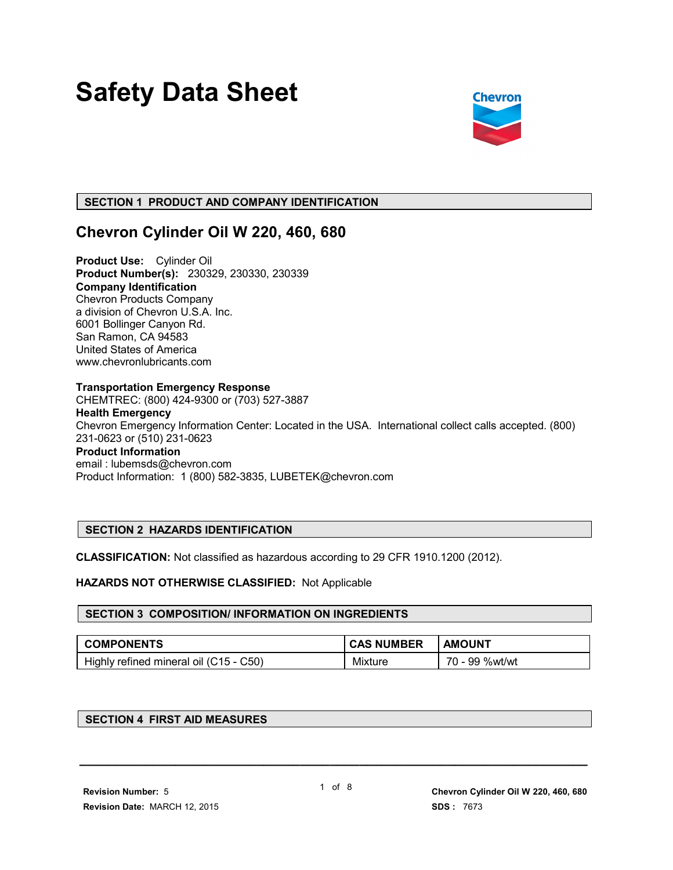# **Safety Data Sheet**



### **SECTION 1 PRODUCT AND COMPANY IDENTIFICATION**

### **Chevron Cylinder Oil W 220, 460, 680**

**Product Use:** Cylinder Oil **Product Number(s):** 230329, 230330, 230339 **Company Identification** Chevron Products Company a division of Chevron U.S.A. Inc. 6001 Bollinger Canyon Rd. San Ramon, CA 94583 United States of America www.chevronlubricants.com

#### **Transportation Emergency Response**

CHEMTREC: (800) 424-9300 or (703) 527-3887

## **Health Emergency**

Chevron Emergency Information Center: Located in the USA. International collect calls accepted. (800) 231-0623 or (510) 231-0623 **Product Information**

#### email : lubemsds@chevron.com Product Information: 1 (800) 582-3835, LUBETEK@chevron.com

#### **SECTION 2 HAZARDS IDENTIFICATION**

**CLASSIFICATION:** Not classified as hazardous according to 29 CFR 1910.1200 (2012).

#### **HAZARDS NOT OTHERWISE CLASSIFIED:** Not Applicable

#### **SECTION 3 COMPOSITION/ INFORMATION ON INGREDIENTS**

| <b>COMPONENTS</b>                      | <b>CAS NUMBER</b> | <b>AMOUNT</b>  |
|----------------------------------------|-------------------|----------------|
| Highly refined mineral oil (C15 - C50) | Mixture           | 70 - 99 %wt/wt |

#### **SECTION 4 FIRST AID MEASURES**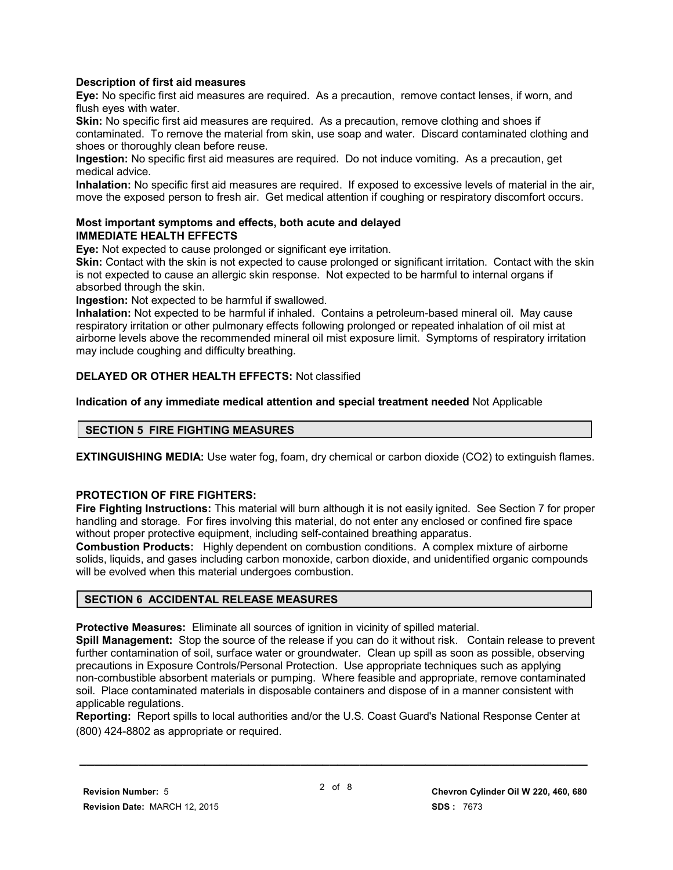#### **Description of first aid measures**

**Eye:** No specific first aid measures are required. As a precaution, remove contact lenses, if worn, and flush eyes with water.

**Skin:** No specific first aid measures are required. As a precaution, remove clothing and shoes if contaminated. To remove the material from skin, use soap and water. Discard contaminated clothing and shoes or thoroughly clean before reuse.

**Ingestion:** No specific first aid measures are required. Do not induce vomiting. As a precaution, get medical advice.

**Inhalation:** No specific first aid measures are required. If exposed to excessive levels of material in the air, move the exposed person to fresh air. Get medical attention if coughing or respiratory discomfort occurs.

#### **Most important symptoms and effects, both acute and delayed IMMEDIATE HEALTH EFFECTS**

**Eye:** Not expected to cause prolonged or significant eye irritation.

**Skin:** Contact with the skin is not expected to cause prolonged or significant irritation. Contact with the skin is not expected to cause an allergic skin response. Not expected to be harmful to internal organs if absorbed through the skin.

**Ingestion:** Not expected to be harmful if swallowed.

**Inhalation:** Not expected to be harmful if inhaled. Contains a petroleum-based mineral oil. May cause respiratory irritation or other pulmonary effects following prolonged or repeated inhalation of oil mist at airborne levels above the recommended mineral oil mist exposure limit. Symptoms of respiratory irritation may include coughing and difficulty breathing.

#### **DELAYED OR OTHER HEALTH EFFECTS:** Not classified

**Indication of any immediate medical attention and special treatment needed** Not Applicable

#### **SECTION 5 FIRE FIGHTING MEASURES**

**EXTINGUISHING MEDIA:** Use water fog, foam, dry chemical or carbon dioxide (CO2) to extinguish flames.

#### **PROTECTION OF FIRE FIGHTERS:**

**Fire Fighting Instructions:** This material will burn although it is not easily ignited. See Section 7 for proper handling and storage. For fires involving this material, do not enter any enclosed or confined fire space without proper protective equipment, including self-contained breathing apparatus.

**Combustion Products:** Highly dependent on combustion conditions. A complex mixture of airborne solids, liquids, and gases including carbon monoxide, carbon dioxide, and unidentified organic compounds will be evolved when this material undergoes combustion.

#### **SECTION 6 ACCIDENTAL RELEASE MEASURES**

**Protective Measures:** Eliminate all sources of ignition in vicinity of spilled material.

**Spill Management:** Stop the source of the release if you can do it without risk. Contain release to prevent further contamination of soil, surface water or groundwater. Clean up spill as soon as possible, observing precautions in Exposure Controls/Personal Protection. Use appropriate techniques such as applying non-combustible absorbent materials or pumping. Where feasible and appropriate, remove contaminated soil. Place contaminated materials in disposable containers and dispose of in a manner consistent with applicable regulations.

**Reporting:** Report spills to local authorities and/or the U.S. Coast Guard's National Response Center at (800) 424-8802 as appropriate or required.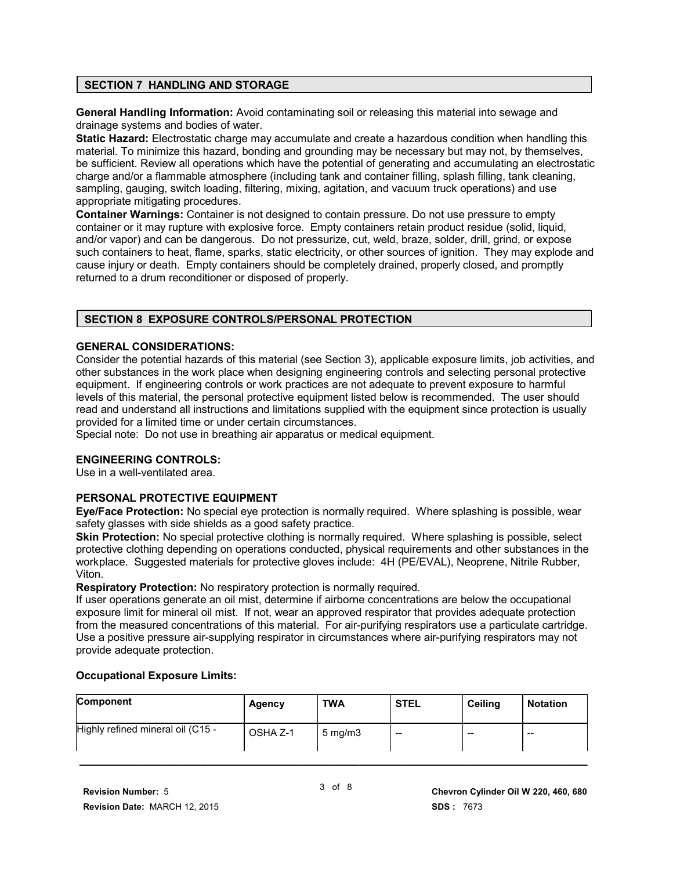#### **SECTION 7 HANDLING AND STORAGE**

**General Handling Information:** Avoid contaminating soil or releasing this material into sewage and drainage systems and bodies of water.

**Static Hazard:** Electrostatic charge may accumulate and create a hazardous condition when handling this material. To minimize this hazard, bonding and grounding may be necessary but may not, by themselves, be sufficient. Review all operations which have the potential of generating and accumulating an electrostatic charge and/or a flammable atmosphere (including tank and container filling, splash filling, tank cleaning, sampling, gauging, switch loading, filtering, mixing, agitation, and vacuum truck operations) and use appropriate mitigating procedures.

**Container Warnings:** Container is not designed to contain pressure. Do not use pressure to empty container or it may rupture with explosive force. Empty containers retain product residue (solid, liquid, and/or vapor) and can be dangerous. Do not pressurize, cut, weld, braze, solder, drill, grind, or expose such containers to heat, flame, sparks, static electricity, or other sources of ignition. They may explode and cause injury or death. Empty containers should be completely drained, properly closed, and promptly returned to a drum reconditioner or disposed of properly.

#### **SECTION 8 EXPOSURE CONTROLS/PERSONAL PROTECTION**

#### **GENERAL CONSIDERATIONS:**

Consider the potential hazards of this material (see Section 3), applicable exposure limits, job activities, and other substances in the work place when designing engineering controls and selecting personal protective equipment. If engineering controls or work practices are not adequate to prevent exposure to harmful levels of this material, the personal protective equipment listed below is recommended. The user should read and understand all instructions and limitations supplied with the equipment since protection is usually provided for a limited time or under certain circumstances.

Special note: Do not use in breathing air apparatus or medical equipment.

#### **ENGINEERING CONTROLS:**

Use in a well-ventilated area.

#### **PERSONAL PROTECTIVE EQUIPMENT**

**Eye/Face Protection:** No special eye protection is normally required. Where splashing is possible, wear safety glasses with side shields as a good safety practice.

**Skin Protection:** No special protective clothing is normally required. Where splashing is possible, select protective clothing depending on operations conducted, physical requirements and other substances in the workplace. Suggested materials for protective gloves include: 4H (PE/EVAL), Neoprene, Nitrile Rubber, Viton.

**Respiratory Protection:** No respiratory protection is normally required.

If user operations generate an oil mist, determine if airborne concentrations are below the occupational exposure limit for mineral oil mist. If not, wear an approved respirator that provides adequate protection from the measured concentrations of this material. For air-purifying respirators use a particulate cartridge. Use a positive pressure air-supplying respirator in circumstances where air-purifying respirators may not provide adequate protection.

#### **Occupational Exposure Limits:**

| <b>Component</b>                  | Agency   | <b>TWA</b>       | <b>STEL</b> | <b>Ceiling</b> | <b>Notation</b> |
|-----------------------------------|----------|------------------|-------------|----------------|-----------------|
| Highly refined mineral oil (C15 - | OSHA Z-1 | $5 \text{ mg/m}$ | $- -$       | $- -$          | $- -$           |
|                                   |          |                  |             |                |                 |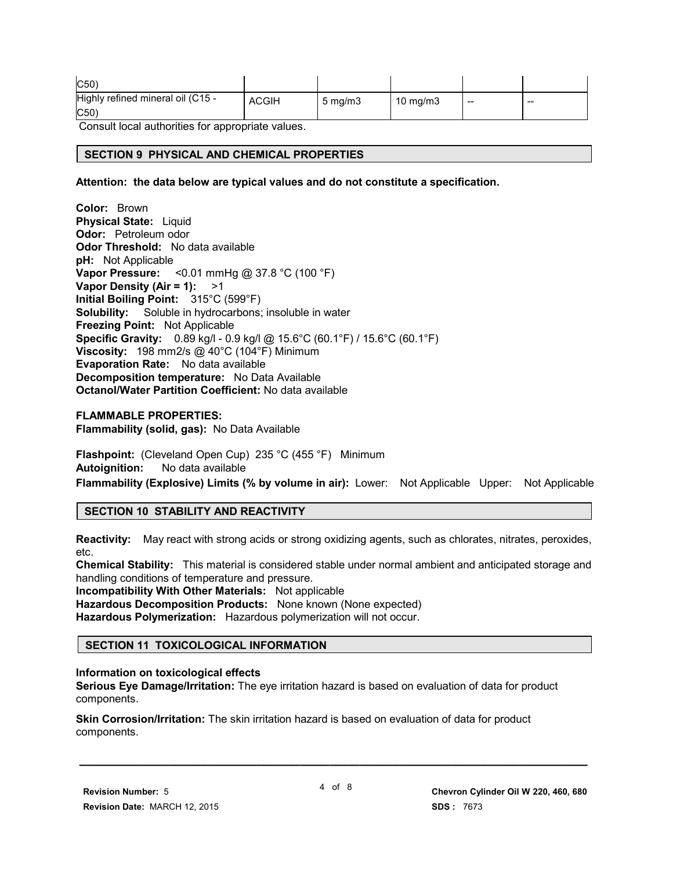| C50                                      |              |                     |             |                          |     |
|------------------------------------------|--------------|---------------------|-------------|--------------------------|-----|
| Highly refined mineral oil (C15 -<br>C50 | <b>ACGIH</b> | $5 \,\mathrm{mq/m}$ | 10 mg/m $3$ | $\overline{\phantom{a}}$ | --- |

Consult local authorities for appropriate values.

#### **SECTION 9 PHYSICAL AND CHEMICAL PROPERTIES**

**Attention: the data below are typical values and do not constitute a specification.**

**Color:** Brown **Physical State:** Liquid **Odor:** Petroleum odor **Odor Threshold:** No data available **pH:** Not Applicable **Vapor Pressure:** <0.01 mmHg @ 37.8 °C (100 °F) **Vapor Density (Air = 1):** >1 **Initial Boiling Point:** 315°C (599°F) **Solubility:** Soluble in hydrocarbons; insoluble in water **Freezing Point:** Not Applicable **Specific Gravity:** 0.89 kg/l - 0.9 kg/l @ 15.6°C (60.1°F) / 15.6°C (60.1°F) **Viscosity:** 198 mm2/s @ 40°C (104°F) Minimum **Evaporation Rate:** No data available **Decomposition temperature:** No Data Available **Octanol/Water Partition Coefficient:** No data available

#### **FLAMMABLE PROPERTIES:**

**Flammability (solid, gas):** No Data Available

**Flashpoint:** (Cleveland Open Cup) 235 °C (455 °F) Minimum **Autoignition:** No data available **Flammability (Explosive) Limits (% by volume in air):** Lower: Not Applicable Upper: Not Applicable

#### **SECTION 10 STABILITY AND REACTIVITY**

**Reactivity:** May react with strong acids or strong oxidizing agents, such as chlorates, nitrates, peroxides, etc.

**Chemical Stability:** This material is considered stable under normal ambient and anticipated storage and handling conditions of temperature and pressure.

**Incompatibility With Other Materials:** Not applicable

**Hazardous Decomposition Products:** None known (None expected) **Hazardous Polymerization:** Hazardous polymerization will not occur.

#### **SECTION 11 TOXICOLOGICAL INFORMATION**

#### **Information on toxicological effects**

**Serious Eye Damage/Irritation:** The eye irritation hazard is based on evaluation of data for product components.

**Skin Corrosion/Irritation:** The skin irritation hazard is based on evaluation of data for product components.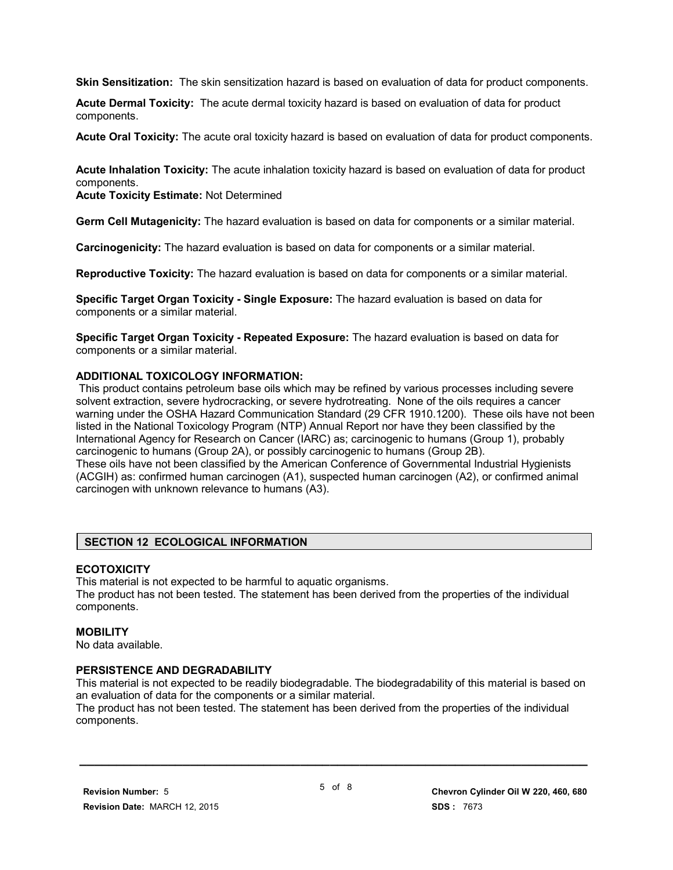**Skin Sensitization:** The skin sensitization hazard is based on evaluation of data for product components.

**Acute Dermal Toxicity:** The acute dermal toxicity hazard is based on evaluation of data for product components.

**Acute Oral Toxicity:** The acute oral toxicity hazard is based on evaluation of data for product components.

**Acute Inhalation Toxicity:** The acute inhalation toxicity hazard is based on evaluation of data for product components.

**Acute Toxicity Estimate:** Not Determined

**Germ Cell Mutagenicity:** The hazard evaluation is based on data for components or a similar material.

**Carcinogenicity:** The hazard evaluation is based on data for components or a similar material.

**Reproductive Toxicity:** The hazard evaluation is based on data for components or a similar material.

**Specific Target Organ Toxicity - Single Exposure:** The hazard evaluation is based on data for components or a similar material.

**Specific Target Organ Toxicity - Repeated Exposure:** The hazard evaluation is based on data for components or a similar material.

#### **ADDITIONAL TOXICOLOGY INFORMATION:**

 This product contains petroleum base oils which may be refined by various processes including severe solvent extraction, severe hydrocracking, or severe hydrotreating. None of the oils requires a cancer warning under the OSHA Hazard Communication Standard (29 CFR 1910.1200). These oils have not been listed in the National Toxicology Program (NTP) Annual Report nor have they been classified by the International Agency for Research on Cancer (IARC) as; carcinogenic to humans (Group 1), probably carcinogenic to humans (Group 2A), or possibly carcinogenic to humans (Group 2B). These oils have not been classified by the American Conference of Governmental Industrial Hygienists (ACGIH) as: confirmed human carcinogen (A1), suspected human carcinogen (A2), or confirmed animal carcinogen with unknown relevance to humans (A3).

#### **SECTION 12 ECOLOGICAL INFORMATION**

#### **ECOTOXICITY**

This material is not expected to be harmful to aquatic organisms. The product has not been tested. The statement has been derived from the properties of the individual components.

#### **MOBILITY**

No data available.

#### **PERSISTENCE AND DEGRADABILITY**

This material is not expected to be readily biodegradable. The biodegradability of this material is based on an evaluation of data for the components or a similar material.

The product has not been tested. The statement has been derived from the properties of the individual components.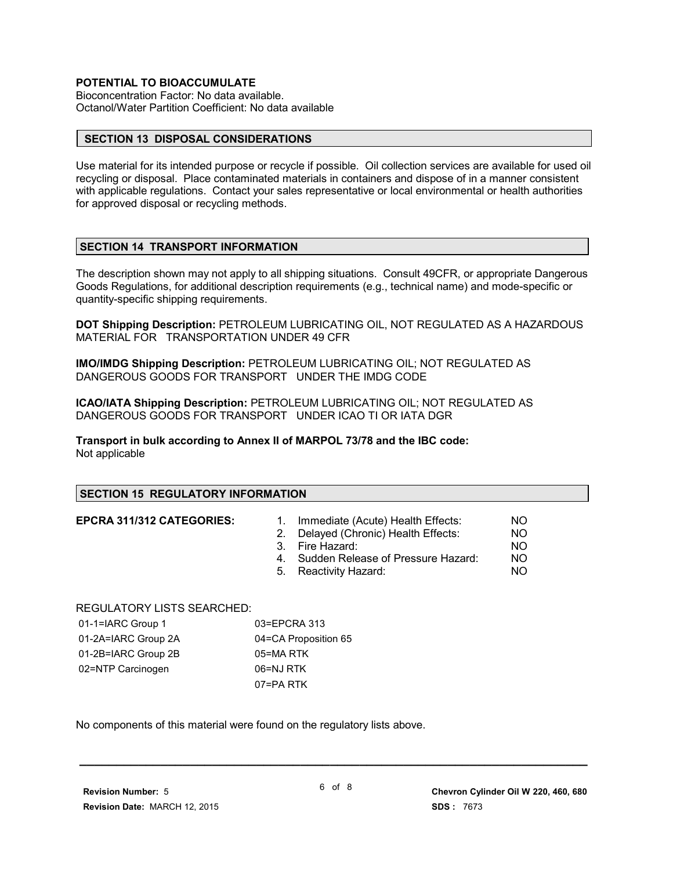#### **POTENTIAL TO BIOACCUMULATE**

Bioconcentration Factor: No data available. Octanol/Water Partition Coefficient: No data available

#### **SECTION 13 DISPOSAL CONSIDERATIONS**

Use material for its intended purpose or recycle if possible. Oil collection services are available for used oil recycling or disposal. Place contaminated materials in containers and dispose of in a manner consistent with applicable regulations. Contact your sales representative or local environmental or health authorities for approved disposal or recycling methods.

#### **SECTION 14 TRANSPORT INFORMATION**

The description shown may not apply to all shipping situations. Consult 49CFR, or appropriate Dangerous Goods Regulations, for additional description requirements (e.g., technical name) and mode-specific or quantity-specific shipping requirements.

**DOT Shipping Description:** PETROLEUM LUBRICATING OIL, NOT REGULATED AS A HAZARDOUS MATERIAL FOR TRANSPORTATION UNDER 49 CFR

**IMO/IMDG Shipping Description:** PETROLEUM LUBRICATING OIL; NOT REGULATED AS DANGEROUS GOODS FOR TRANSPORT UNDER THE IMDG CODE

**ICAO/IATA Shipping Description:** PETROLEUM LUBRICATING OIL; NOT REGULATED AS DANGEROUS GOODS FOR TRANSPORT UNDER ICAO TI OR IATA DGR

**Transport in bulk according to Annex II of MARPOL 73/78 and the IBC code:** Not applicable

#### **SECTION 15 REGULATORY INFORMATION**

- **EPCRA 311/312 CATEGORIES:** 1. Immediate (Acute) Health Effects: NO
	- 2. Delayed (Chronic) Health Effects: NO
	- 3. Fire Hazard: NO
	- 4. Sudden Release of Pressure Hazard: NO
	- 5. Reactivity Hazard: NO

REGULATORY LISTS SEARCHED:

| 01-1=IARC Group 1   | 03=EPCRA 313         |
|---------------------|----------------------|
| 01-2A=IARC Group 2A | 04=CA Proposition 65 |
| 01-2B=IARC Group 2B | 05=MA RTK            |
| 02=NTP Carcinogen   | 06=NJ RTK            |
|                     | 07=PA RTK            |

No components of this material were found on the regulatory lists above.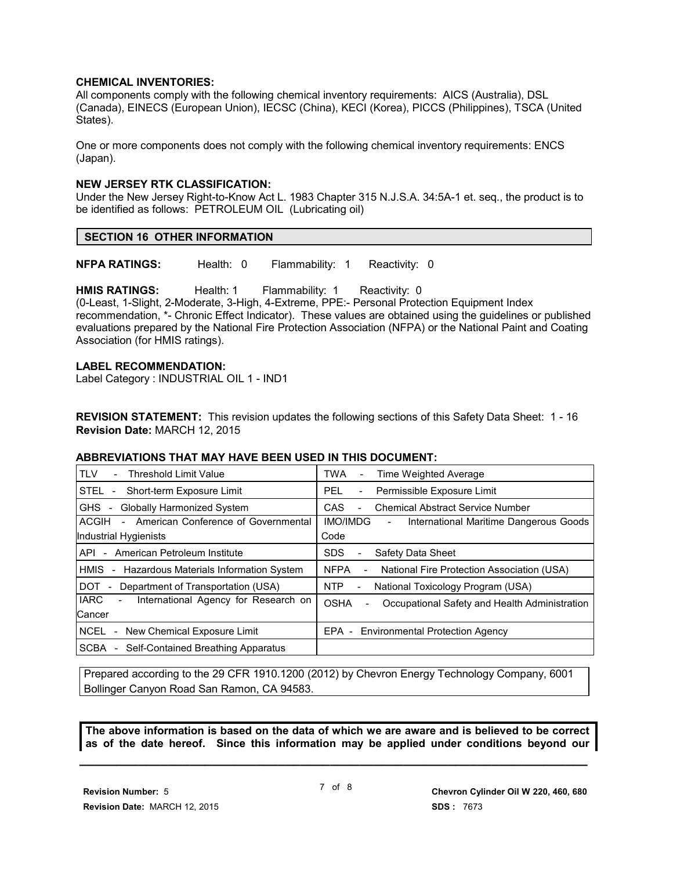#### **CHEMICAL INVENTORIES:**

All components comply with the following chemical inventory requirements: AICS (Australia), DSL (Canada), EINECS (European Union), IECSC (China), KECI (Korea), PICCS (Philippines), TSCA (United States).

One or more components does not comply with the following chemical inventory requirements: ENCS (Japan).

#### **NEW JERSEY RTK CLASSIFICATION:**

Under the New Jersey Right-to-Know Act L. 1983 Chapter 315 N.J.S.A. 34:5A-1 et. seq., the product is to be identified as follows: PETROLEUM OIL (Lubricating oil)

**NFPA RATINGS:** Health: 0 Flammability: 1 Reactivity: 0

**HMIS RATINGS:** Health: 1 Flammability: 1 Reactivity: 0 (0-Least, 1-Slight, 2-Moderate, 3-High, 4-Extreme, PPE:- Personal Protection Equipment Index recommendation, \*- Chronic Effect Indicator). These values are obtained using the guidelines or published evaluations prepared by the National Fire Protection Association (NFPA) or the National Paint and Coating Association (for HMIS ratings).

#### **LABEL RECOMMENDATION:**

Label Category : INDUSTRIAL OIL 1 - IND1

**REVISION STATEMENT:** This revision updates the following sections of this Safety Data Sheet: 1 - 16 **Revision Date:** MARCH 12, 2015

#### **ABBREVIATIONS THAT MAY HAVE BEEN USED IN THIS DOCUMENT:**

| <b>TLV</b><br><b>Threshold Limit Value</b>                                        | <b>TWA</b><br>Time Weighted Average<br>$\overline{\phantom{0}}$                       |
|-----------------------------------------------------------------------------------|---------------------------------------------------------------------------------------|
| STEL -<br>Short-term Exposure Limit                                               | Permissible Exposure Limit<br>PEL.<br>$\overline{\phantom{a}}$                        |
| <b>Globally Harmonized System</b><br>GHS -                                        | <b>CAS</b><br><b>Chemical Abstract Service Number</b><br>$\overline{\phantom{0}}$     |
| American Conference of Governmental<br>ACGIH<br>$\sim$                            | <b>IMO/IMDG</b><br>International Maritime Dangerous Goods<br>$\overline{\phantom{a}}$ |
| Industrial Hygienists                                                             | Code                                                                                  |
| American Petroleum Institute<br>API<br>$\sim$                                     | <b>SDS</b><br>Safety Data Sheet                                                       |
| <b>HMIS</b><br>Hazardous Materials Information System<br>$\overline{\phantom{a}}$ | <b>NFPA</b><br>National Fire Protection Association (USA)                             |
| DOT.<br>Department of Transportation (USA)                                        | <b>NTP</b><br>National Toxicology Program (USA)<br>$\overline{\phantom{a}}$           |
| <b>IARC</b><br>International Agency for Research on<br>$\overline{\phantom{0}}$   | <b>OSHA</b><br>Occupational Safety and Health Administration                          |
| Cancer                                                                            |                                                                                       |
| NCEL<br>- New Chemical Exposure Limit                                             | EPA - Environmental Protection Agency                                                 |
| SCBA<br>Self-Contained Breathing Apparatus<br>$\sim$                              |                                                                                       |

Prepared according to the 29 CFR 1910.1200 (2012) by Chevron Energy Technology Company, 6001 Bollinger Canyon Road San Ramon, CA 94583.

**The above information is based on the data of which we are aware and is believed to be correct as of the date hereof. Since this information may be applied under conditions beyond our**